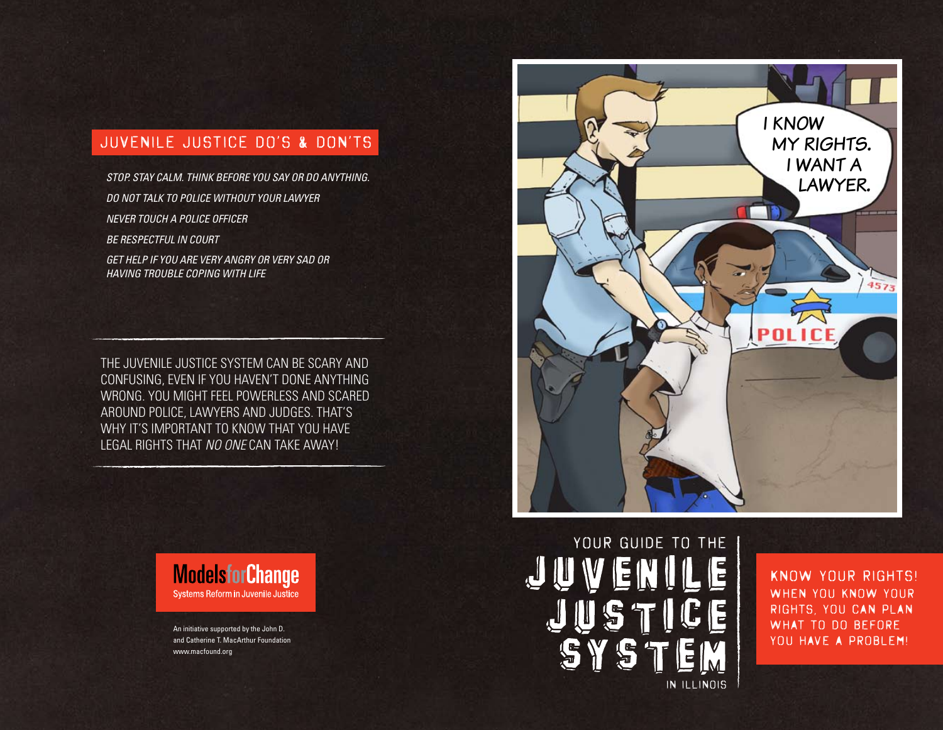## JUVENILE JUSTICE DO'S & DON'TS

*STOP. STAY CALM. THINK BEFORE YOU SAY OR DO ANYTHING. DO NOT TALK TO POLICE WITHOUT YOUR LAWYER NEVER TOUCH A POLICE OFFICER BE RESPECTFUL IN COURT*

*GET HELP IF YOU ARE VERY ANGRY OR VERY SAD OR HAVING TROUBLE COPING WITH LIFE*

THE JUVENILE JUSTICE SYSTEM CAN BE SCARY AND CONFUSING, EVEN IF YOU HAVEN'T DONE ANYTHING WRONG. YOU MIGHT FEEL POWERLESS AND SCARED AROUND POLICE, LAWYERS AND JUDGES. THAT'S WHY IT'S IMPORTANT TO KNOW THAT YOU HAVE LEGAL RIGHTS THAT *NO ONE* CAN TAKE AWAY!



An initiative supported by the John D. and Catherine T. MacArthur Foundation www.macfound.org



# YOUR GUIDE TO THE IN ILLINOIS

KNOW YOUR RIGHTS! When you know your rights, you can plan WHAT TO DO BEFORE YOU HAVE A PROBLEM!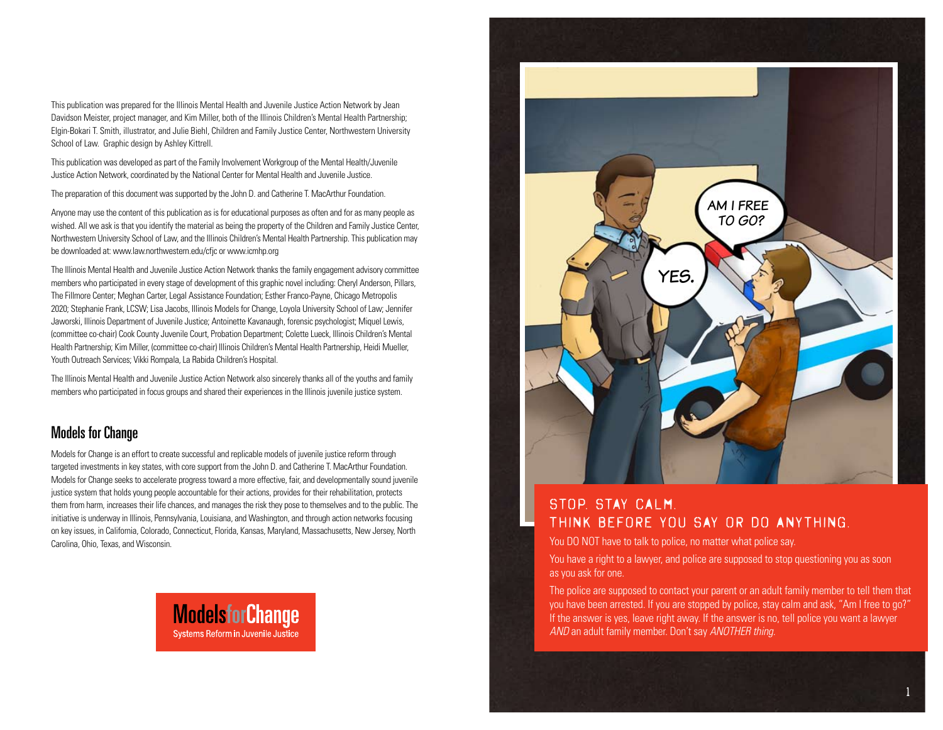This publication was prepared for the Illinois Mental Health and Juvenile Justice Action Network by Jean Davidson Meister, project manager, and Kim Miller, both of the Illinois Children's Mental Health Partnership; Elgin-Bokari T. Smith, illustrator, and Julie Biehl, Children and Family Justice Center, Northwestern University School of Law. Graphic design by Ashley Kittrell.

This publication was developed as part of the Family Involvement Workgroup of the Mental Health/Juvenile Justice Action Network, coordinated by the National Center for Mental Health and Juvenile Justice.

The preparation of this document was supported by the John D. and Catherine T. MacArthur Foundation.

Anyone may use the content of this publication as is for educational purposes as often and for as many people as wished. All we ask is that you identify the material as being the property of the Children and Family Justice Center, Northwestern University School of Law, and the Illinois Children's Mental Health Partnership. This publication may be downloaded at: www.law.northwestern.edu/cfjc or www.icmhp.org

The Illinois Mental Health and Juvenile Justice Action Network thanks the family engagement advisory committee members who participated in every stage of development of this graphic novel including: Cheryl Anderson, Pillars, The Fillmore Center; Meghan Carter, Legal Assistance Foundation; Esther Franco-Payne, Chicago Metropolis 2020; Stephanie Frank, LCSW; Lisa Jacobs, Illinois Models for Change, Loyola University School of Law; Jennifer Jaworski, Illinois Department of Juvenile Justice; Antoinette Kavanaugh, forensic psychologist; Miquel Lewis, (committee co-chair) Cook County Juvenile Court, Probation Department; Colette Lueck, Illinois Children's Mental Health Partnership; Kim Miller, (committee co-chair) Illinois Children's Mental Health Partnership, Heidi Mueller, Youth Outreach Services; Vikki Rompala, La Rabida Children's Hospital.

The Illinois Mental Health and Juvenile Justice Action Network also sincerely thanks all of the youths and family members who participated in focus groups and shared their experiences in the Illinois juvenile justice system.

## Models for Change

Models for Change is an effort to create successful and replicable models of juvenile justice reform through targeted investments in key states, with core support from the John D. and Catherine T. MacArthur Foundation. Models for Change seeks to accelerate progress toward a more effective, fair, and developmentally sound juvenile justice system that holds young people accountable for their actions, provides for their rehabilitation, protects them from harm, increases their life chances, and manages the risk they pose to themselves and to the public. The initiative is underway in Illinois, Pennsylvania, Louisiana, and Washington, and through action networks focusing on key issues, in California, Colorado, Connecticut, Florida, Kansas, Maryland, Massachusetts, New Jersey, North Carolina, Ohio, Texas, and Wisconsin.





## stop. stay calm. think before you say or do anything.

You DO NOT have to talk to police, no matter what police say.

You have a right to a lawyer, and police are supposed to stop questioning you as soon as you ask for one.

The police are supposed to contact your parent or an adult family member to tell them that you have been arrested. If you are stopped by police, stay calm and ask, "Am I free to go?" If the answer is yes, leave right away. If the answer is no, tell police you want a lawyer *AND* an adult family member. Don't say *ANOTHER thing*.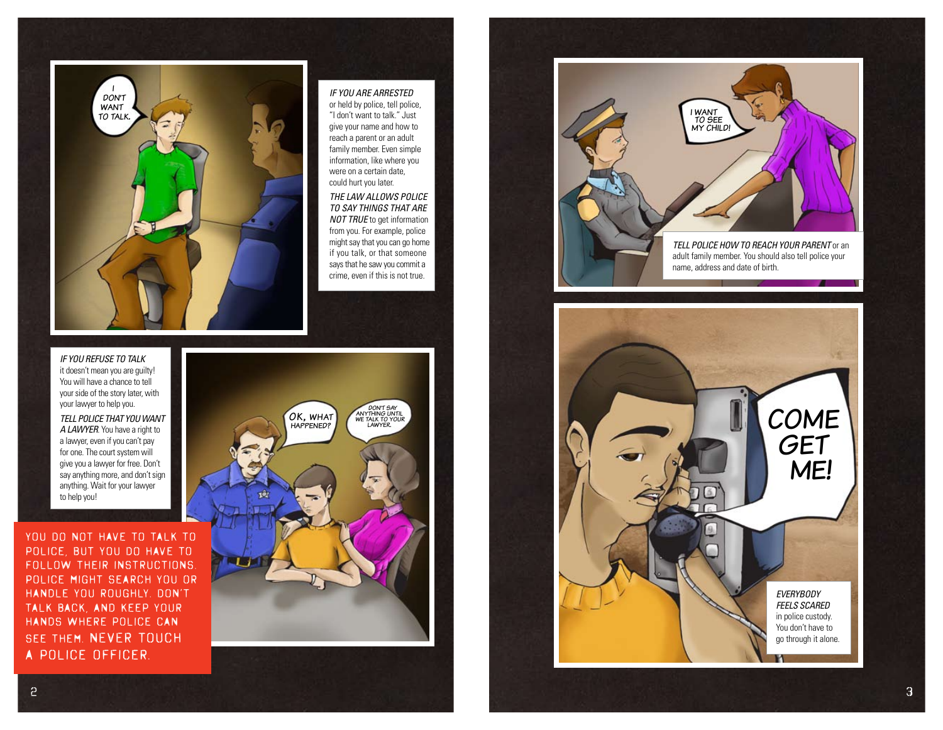

#### *IF YOU ARE ARRESTED* or held by police, tell police, "I don't want to talk." Just give your name and how to reach a parent or an adult family member. Even simple information, like where you were on a certain date,

could hurt you later. *THE LAW ALLOWS POLICE TO SAY THINGS THAT ARE NOT TRUE* to get information from you. For example, police might say that you can go home if you talk, or that someone says that he saw you commit a crime, even if this is not true.

*IF YOU REFUSE TO TALK*  it doesn't mean you are guilty! You will have a chance to tell your side of the story later, with your lawyer to help you.

*TELL POLICE THAT YOU WANT A LAWYER*. You have a right to a lawyer, even if you can't pay for one. The court system will give you a lawyer for free. Don't say anything more, and don't sign anything. Wait for your lawyer to help you!

YOU DO NOT HAVE TO TALK TO police, but you DO have to follow their instructions. Police might search you or handle you roughly. Don't talk back, and keep your hands where police can see them. NEVER touch a police officer.





*EVERYBODY FEELS SCARED* in police custody. You don't have to go through it alone. **COME GET** ME!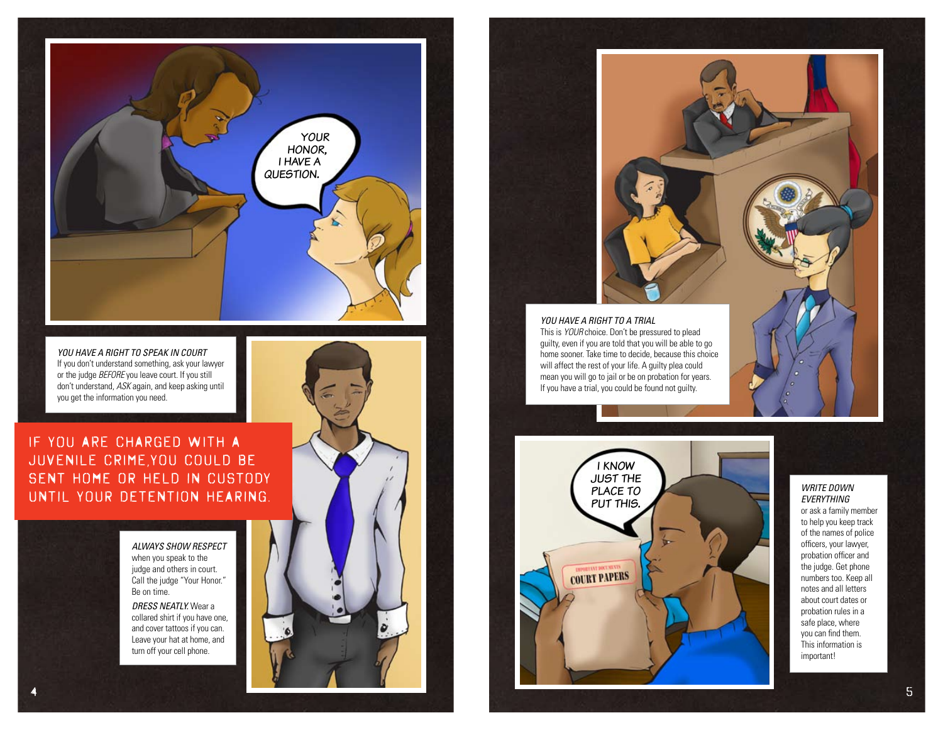

*YOU HAVE A RIGHT TO SPEAK IN COURT* If you don't understand something, ask your lawyer or the judge *BEFORE* you leave court. If you still don't understand, *ASK* again, and keep asking until you get the information you need.

IF YOU ARE CHARGED WITH A JUVENILE CRIME,You could be sent home or held in custody until your detention hearing.

> *ALWAYS SHOW RESPECT* when you speak to the judge and others in court. Call the judge "Your Honor." Be on time.

*DRESS NEATLY.* Wear a collared shirt if you have one, and cover tattoos if you can. Leave your hat at home, and turn off your cell phone.





This is *YOUR* choice. Don't be pressured to plead guilty, even if you are told that you will be able to go home sooner. Take time to decide, because this choice will affect the rest of your life. A guilty plea could mean you will go to jail or be on probation for years. If you have a trial, you could be found not guilty.



#### *WRITE DOWN EVERYTHING*  or ask a family member to help you keep track of the names of police officers, your lawyer, probation officer and

the judge. Get phone numbers too. Keep all notes and all letters about court dates or probation rules in a safe place, where you can find them. This information is important!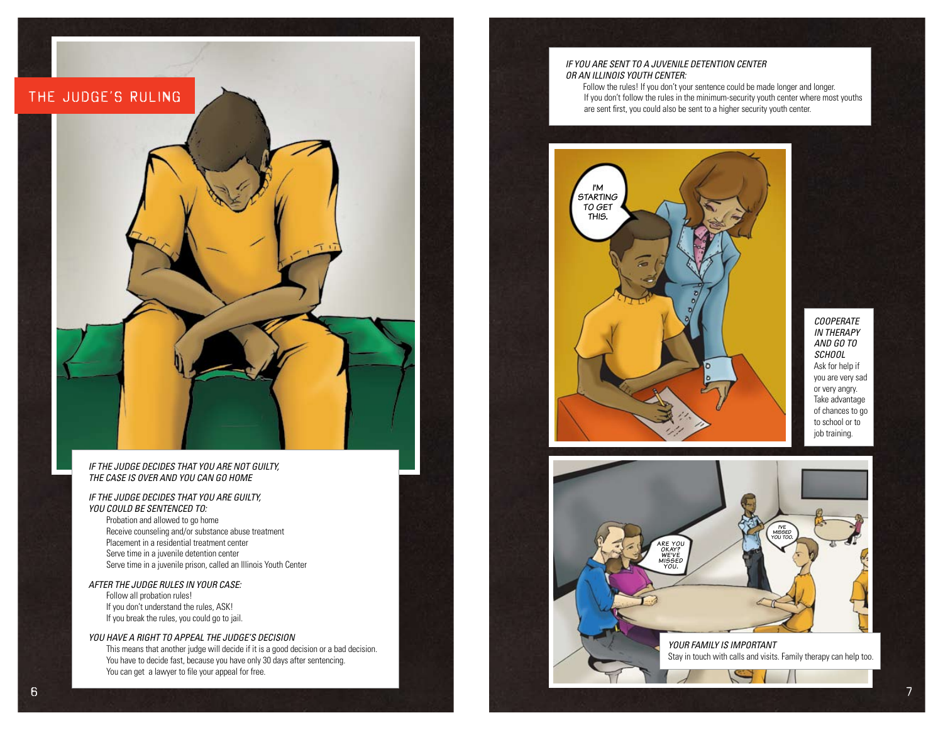

#### *IF THE JUDGE DECIDES THAT YOU ARE NOT GUILTY, THE CASE IS OVER AND YOU CAN GO HOME*

#### *IF THE JUDGE DECIDES THAT YOU ARE GUILTY, YOU COULD BE SENTENCED TO:*

Probation and allowed to go home Receive counseling and/or substance abuse treatment Placement in a residential treatment center Serve time in a juvenile detention center Serve time in a juvenile prison, called an Illinois Youth Center

#### *AFTER THE JUDGE RULES IN YOUR CASE:*

Follow all probation rules! If you don't understand the rules, ASK! If you break the rules, you could go to jail.

#### *YOU HAVE A RIGHT TO APPEAL THE JUDGE'S DECISION*

This means that another judge will decide if it is a good decision or a bad decision. You have to decide fast, because you have only 30 days after sentencing. You can get a lawyer to file your appeal for free.

#### *IF YOU ARE SENT TO A JUVENILE DETENTION CENTER OR AN ILLINOIS YOUTH CENTER:*

Follow the rules! If you don't your sentence could be made longer and longer. If you don't follow the rules in the minimum-security youth center where most youths are sent first, you could also be sent to a higher security youth center.



*COOPERATE IN THERAPY AND GO TO SCHOOL* Ask for help if you are very sad or very angry. Take advantage of chances to go to school or to job training.

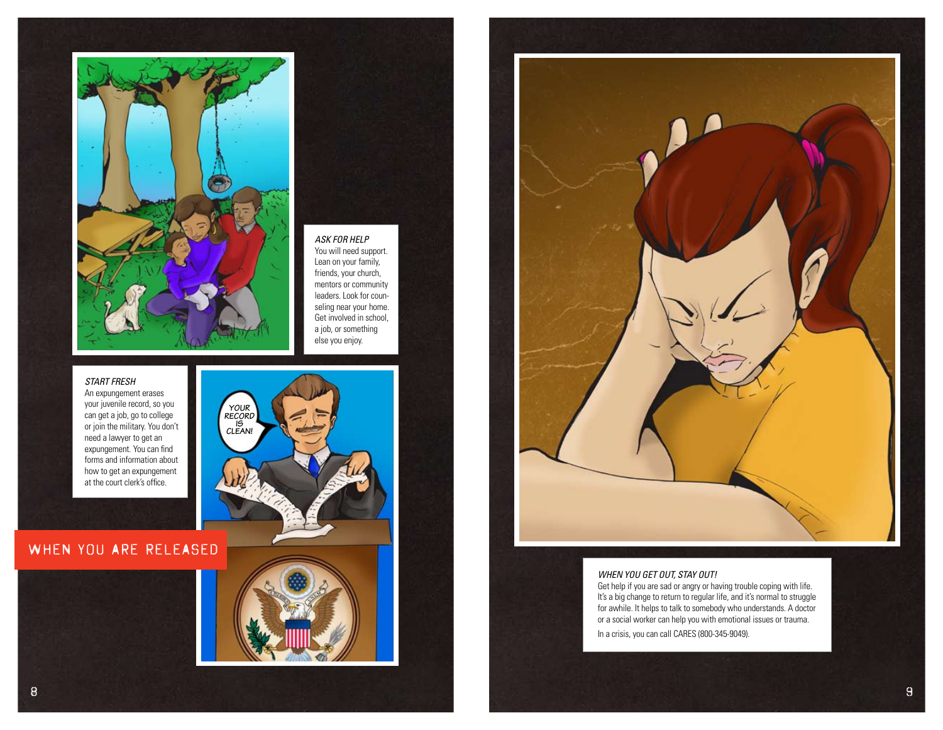

#### *ASK FOR HELP*

You will need support. Lean on your family, friends, your church, mentors or community leaders. Look for counseling near your home. Get involved in school, a job, or something else you enjoy.

#### *START FRESH*

An expungement erases your juvenile record, so you can get a job, go to college or join the military. You don't need a lawyer to get an expungement. You can find forms and information about how to get an expungement at the court clerk's office.



## WHEN YOU ARE RELEASED





#### *WHEN YOU GET OUT, STAY OUT!*

Get help if you are sad or angry or having trouble coping with life. It's a big change to return to regular life, and it's normal to struggle for awhile. It helps to talk to somebody who understands. A doctor or a social worker can help you with emotional issues or trauma. In a crisis, you can call CARES (800-345-9049).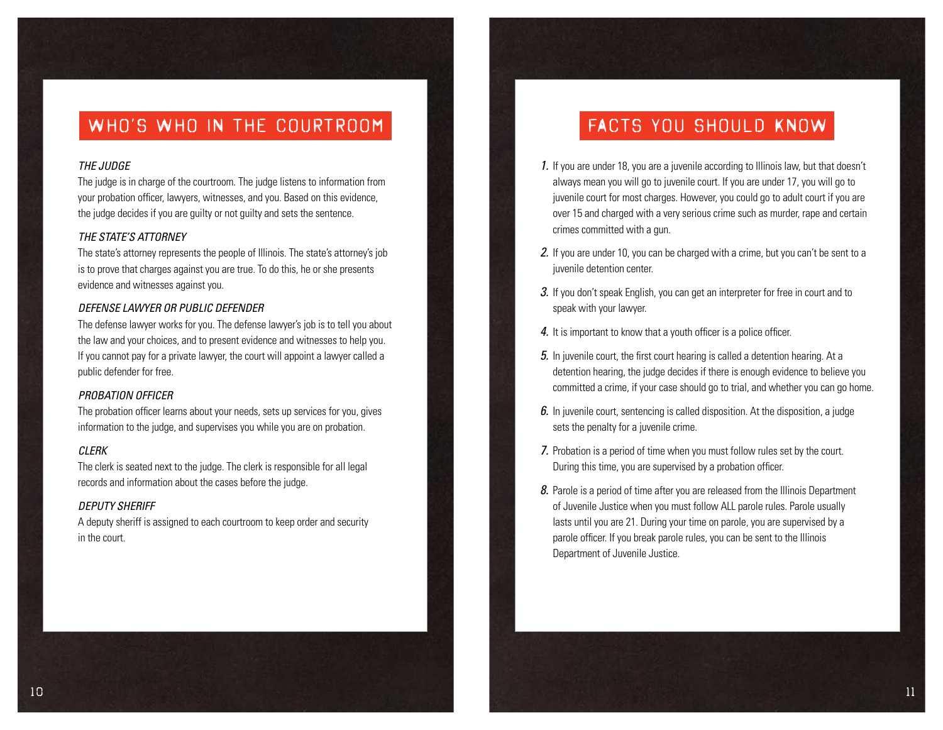## WHO'S WHO IN THE COURTROOM

### *THE JUDGE*

The judge is in charge of the courtroom. The judge listens to information from your probation officer, lawyers, witnesses, and you. Based on this evidence, the judge decides if you are guilty or not guilty and sets the sentence.

### *THE STATE'S ATTORNEY*

The state's attorney represents the people of Illinois. The state's attorney's job is to prove that charges against you are true. To do this, he or she presents evidence and witnesses against you.

### *DEFENSE LAWYER OR PUBLIC DEFENDER*

The defense lawyer works for you. The defense lawyer's job is to tell you about the law and your choices, and to present evidence and witnesses to help you. If you cannot pay for a private lawyer, the court will appoint a lawyer called a public defender for free.

#### *PROBATION OFFICER*

The probation officer learns about your needs, sets up services for you, gives information to the judge, and supervises you while you are on probation.

#### *CLERK*

The clerk is seated next to the judge. The clerk is responsible for all legal records and information about the cases before the judge.

#### *DEPUTY SHERIFF*

A deputy sheriff is assigned to each courtroom to keep order and security in the court.

## FACTS YOU SHOULD KNOW

- 1. If you are under 18, you are a juvenile according to Illinois law, but that doesn't always mean you will go to juvenile court. If you are under 17, you will go to juvenile court for most charges. However, you could go to adult court if you are over 15 and charged with a very serious crime such as murder, rape and certain crimes committed with a gun.
- 2. If you are under 10, you can be charged with a crime, but you can't be sent to a juvenile detention center.
- 3. If you don't speak English, you can get an interpreter for free in court and to speak with your lawyer.
- 4. It is important to know that a youth officer is a police officer.
- 5. In juvenile court, the first court hearing is called a detention hearing. At a detention hearing, the judge decides if there is enough evidence to believe you committed a crime, if your case should go to trial, and whether you can go home.
- 6. In juvenile court, sentencing is called disposition. At the disposition, a judge sets the penalty for a juvenile crime.
- 7. Probation is a period of time when you must follow rules set by the court. During this time, you are supervised by a probation officer.
- 8. Parole is a period of time after you are released from the Illinois Department of Juvenile Justice when you must follow ALL parole rules. Parole usually lasts until you are 21. During your time on parole, you are supervised by a parole officer. If you break parole rules, you can be sent to the Illinois Department of Juvenile Justice.